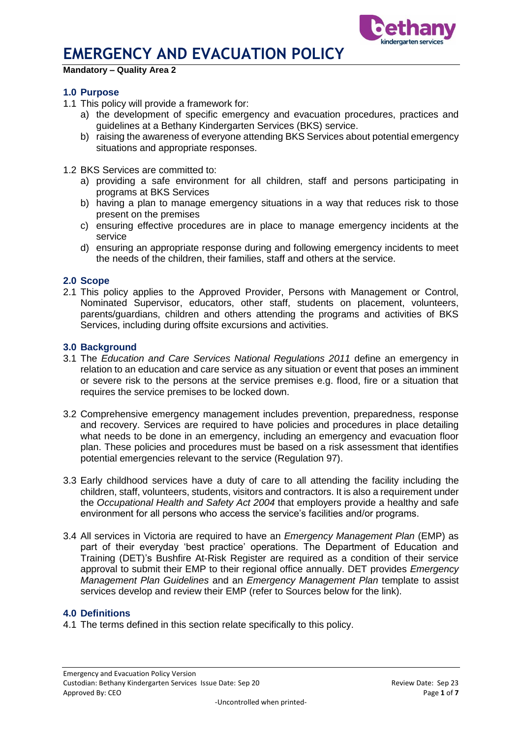

#### **Mandatory – Quality Area 2**

### **1.0 Purpose**

- 1.1 This policy will provide a framework for:
	- a) the development of specific emergency and evacuation procedures, practices and guidelines at a Bethany Kindergarten Services (BKS) service.
	- b) raising the awareness of everyone attending BKS Services about potential emergency situations and appropriate responses.
- 1.2 BKS Services are committed to:
	- a) providing a safe environment for all children, staff and persons participating in programs at BKS Services
	- b) having a plan to manage emergency situations in a way that reduces risk to those present on the premises
	- c) ensuring effective procedures are in place to manage emergency incidents at the service
	- d) ensuring an appropriate response during and following emergency incidents to meet the needs of the children, their families, staff and others at the service.

#### **2.0 Scope**

2.1 This policy applies to the Approved Provider, Persons with Management or Control, Nominated Supervisor, educators, other staff, students on placement, volunteers, parents/guardians, children and others attending the programs and activities of BKS Services, including during offsite excursions and activities.

#### **3.0 Background**

- 3.1 The *Education and Care Services National Regulations 2011* define an emergency in relation to an education and care service as any situation or event that poses an imminent or severe risk to the persons at the service premises e.g. flood, fire or a situation that requires the service premises to be locked down.
- 3.2 Comprehensive emergency management includes prevention, preparedness, response and recovery. Services are required to have policies and procedures in place detailing what needs to be done in an emergency, including an emergency and evacuation floor plan. These policies and procedures must be based on a risk assessment that identifies potential emergencies relevant to the service (Regulation 97).
- 3.3 Early childhood services have a duty of care to all attending the facility including the children, staff, volunteers, students, visitors and contractors. It is also a requirement under the *Occupational Health and Safety Act 2004* that employers provide a healthy and safe environment for all persons who access the service's facilities and/or programs.
- 3.4 All services in Victoria are required to have an *Emergency Management Plan* (EMP) as part of their everyday 'best practice' operations. The Department of Education and Training (DET)'s Bushfire At-Risk Register are required as a condition of their service approval to submit their EMP to their regional office annually. DET provides *Emergency Management Plan Guidelines* and an *Emergency Management Plan* template to assist services develop and review their EMP (refer to Sources below for the link).

#### **4.0 Definitions**

4.1 The terms defined in this section relate specifically to this policy.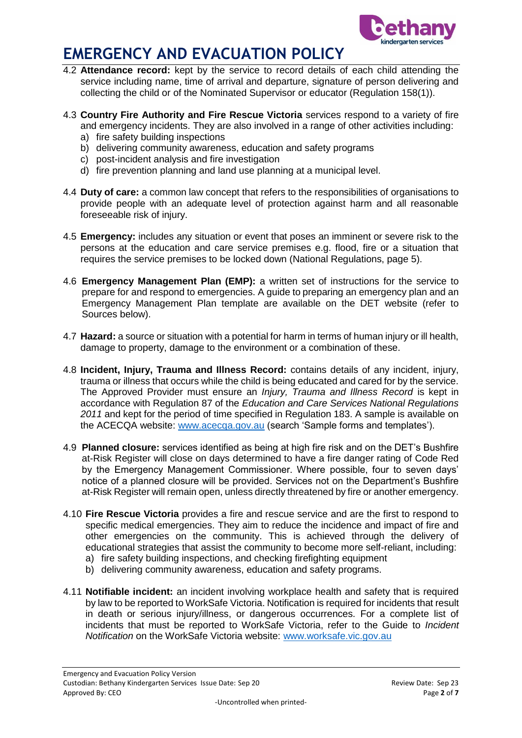

- 4.2 **Attendance record:** kept by the service to record details of each child attending the service including name, time of arrival and departure, signature of person delivering and collecting the child or of the Nominated Supervisor or educator (Regulation 158(1)).
- 4.3 **Country Fire Authority and Fire Rescue Victoria** services respond to a variety of fire and emergency incidents. They are also involved in a range of other activities including:
	- a) fire safety building inspections
	- b) delivering community awareness, education and safety programs
	- c) post-incident analysis and fire investigation
	- d) fire prevention planning and land use planning at a municipal level.
- 4.4 **Duty of care:** a common law concept that refers to the responsibilities of organisations to provide people with an adequate level of protection against harm and all reasonable foreseeable risk of injury.
- 4.5 **Emergency:** includes any situation or event that poses an imminent or severe risk to the persons at the education and care service premises e.g. flood, fire or a situation that requires the service premises to be locked down (National Regulations, page 5).
- 4.6 **Emergency Management Plan (EMP):** a written set of instructions for the service to prepare for and respond to emergencies. A guide to preparing an emergency plan and an Emergency Management Plan template are available on the DET website (refer to Sources below).
- 4.7 **Hazard:** a source or situation with a potential for harm in terms of human injury or ill health, damage to property, damage to the environment or a combination of these.
- 4.8 **Incident, Injury, Trauma and Illness Record:** contains details of any incident, injury, trauma or illness that occurs while the child is being educated and cared for by the service. The Approved Provider must ensure an *Injury, Trauma and Illness Record* is kept in accordance with Regulation 87 of the *Education and Care Services National Regulations 2011* and kept for the period of time specified in Regulation 183. A sample is available on the ACECQA website: [www.acecqa.gov.au](http://www.acecqa.gov.au/) (search 'Sample forms and templates').
- 4.9 **Planned closure:** services identified as being at high fire risk and on the DET's Bushfire at-Risk Register will close on days determined to have a fire danger rating of Code Red by the Emergency Management Commissioner. Where possible, four to seven days' notice of a planned closure will be provided. Services not on the Department's Bushfire at-Risk Register will remain open, unless directly threatened by fire or another emergency.
- 4.10 **Fire Rescue Victoria** provides a fire and rescue service and are the first to respond to specific medical emergencies. They aim to reduce the incidence and impact of fire and other emergencies on the community. This is achieved through the delivery of educational strategies that assist the community to become more self-reliant, including:
	- a) fire safety building inspections, and checking firefighting equipment
	- b) delivering community awareness, education and safety programs.
- 4.11 **Notifiable incident:** an incident involving workplace health and safety that is required by law to be reported to WorkSafe Victoria. Notification is required for incidents that result in death or serious injury/illness, or dangerous occurrences. For a complete list of incidents that must be reported to WorkSafe Victoria, refer to the Guide to *Incident Notification* on the WorkSafe Victoria website: [www.worksafe.vic.gov.au](http://www.worksafe.vic.gov.au/)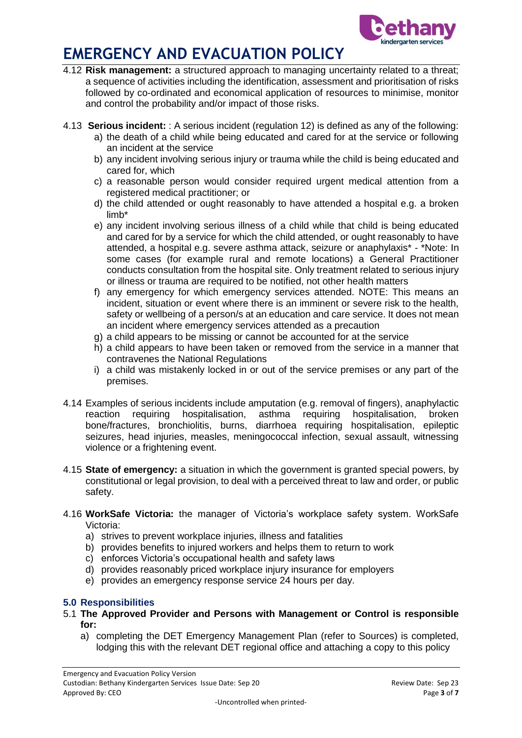

- 4.12 **Risk management:** a structured approach to managing uncertainty related to a threat; a sequence of activities including the identification, assessment and prioritisation of risks followed by co-ordinated and economical application of resources to minimise, monitor and control the probability and/or impact of those risks.
- 4.13 **Serious incident:** : A serious incident (regulation 12) is defined as any of the following:
	- a) the death of a child while being educated and cared for at the service or following an incident at the service
	- b) any incident involving serious injury or trauma while the child is being educated and cared for, which
	- c) a reasonable person would consider required urgent medical attention from a registered medical practitioner; or
	- d) the child attended or ought reasonably to have attended a hospital e.g. a broken limb\*
	- e) any incident involving serious illness of a child while that child is being educated and cared for by a service for which the child attended, or ought reasonably to have attended, a hospital e.g. severe asthma attack, seizure or anaphylaxis\* - \*Note: In some cases (for example rural and remote locations) a General Practitioner conducts consultation from the hospital site. Only treatment related to serious injury or illness or trauma are required to be notified, not other health matters
	- f) any emergency for which emergency services attended. NOTE: This means an incident, situation or event where there is an imminent or severe risk to the health, safety or wellbeing of a person/s at an education and care service. It does not mean an incident where emergency services attended as a precaution
	- g) a child appears to be missing or cannot be accounted for at the service
	- h) a child appears to have been taken or removed from the service in a manner that contravenes the National Regulations
	- i) a child was mistakenly locked in or out of the service premises or any part of the premises.
- 4.14 Examples of serious incidents include amputation (e.g. removal of fingers), anaphylactic reaction requiring hospitalisation, asthma requiring hospitalisation, broken bone/fractures, bronchiolitis, burns, diarrhoea requiring hospitalisation, epileptic seizures, head injuries, measles, meningococcal infection, sexual assault, witnessing violence or a frightening event.
- 4.15 **State of emergency:** a situation in which the government is granted special powers, by constitutional or legal provision, to deal with a perceived threat to law and order, or public safety.
- 4.16 **WorkSafe Victoria:** the manager of Victoria's workplace safety system. WorkSafe Victoria:
	- a) strives to prevent workplace injuries, illness and fatalities
	- b) provides benefits to injured workers and helps them to return to work
	- c) enforces Victoria's occupational health and safety laws
	- d) provides reasonably priced workplace injury insurance for employers
	- e) provides an emergency response service 24 hours per day.

## **5.0 Responsibilities**

- 5.1 **The Approved Provider and Persons with Management or Control is responsible for:**
	- a) completing the DET Emergency Management Plan (refer to Sources) is completed, lodging this with the relevant DET regional office and attaching a copy to this policy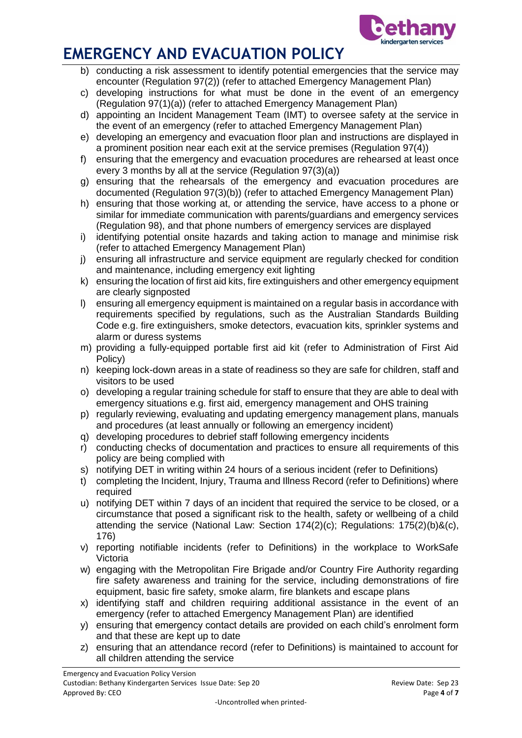

- b) conducting a risk assessment to identify potential emergencies that the service may encounter (Regulation 97(2)) (refer to attached Emergency Management Plan)
- c) developing instructions for what must be done in the event of an emergency (Regulation 97(1)(a)) (refer to attached Emergency Management Plan)
- d) appointing an Incident Management Team (IMT) to oversee safety at the service in the event of an emergency (refer to attached Emergency Management Plan)
- e) developing an emergency and evacuation floor plan and instructions are displayed in a prominent position near each exit at the service premises (Regulation 97(4))
- f) ensuring that the emergency and evacuation procedures are rehearsed at least once every 3 months by all at the service (Regulation 97(3)(a))
- g) ensuring that the rehearsals of the emergency and evacuation procedures are documented (Regulation 97(3)(b)) (refer to attached Emergency Management Plan)
- h) ensuring that those working at, or attending the service, have access to a phone or similar for immediate communication with parents/guardians and emergency services (Regulation 98), and that phone numbers of emergency services are displayed
- i) identifying potential onsite hazards and taking action to manage and minimise risk (refer to attached Emergency Management Plan)
- j) ensuring all infrastructure and service equipment are regularly checked for condition and maintenance, including emergency exit lighting
- k) ensuring the location of first aid kits, fire extinguishers and other emergency equipment are clearly signposted
- l) ensuring all emergency equipment is maintained on a regular basis in accordance with requirements specified by regulations, such as the Australian Standards Building Code e.g. fire extinguishers, smoke detectors, evacuation kits, sprinkler systems and alarm or duress systems
- m) providing a fully-equipped portable first aid kit (refer to Administration of First Aid Policy)
- n) keeping lock-down areas in a state of readiness so they are safe for children, staff and visitors to be used
- o) developing a regular training schedule for staff to ensure that they are able to deal with emergency situations e.g. first aid, emergency management and OHS training
- p) regularly reviewing, evaluating and updating emergency management plans, manuals and procedures (at least annually or following an emergency incident)
- q) developing procedures to debrief staff following emergency incidents
- r) conducting checks of documentation and practices to ensure all requirements of this policy are being complied with
- s) notifying DET in writing within 24 hours of a serious incident (refer to Definitions)
- t) completing the Incident, Injury, Trauma and Illness Record (refer to Definitions) where required
- u) notifying DET within 7 days of an incident that required the service to be closed, or a circumstance that posed a significant risk to the health, safety or wellbeing of a child attending the service (National Law: Section 174(2)(c); Regulations: 175(2)(b)&(c), 176)
- v) reporting notifiable incidents (refer to Definitions) in the workplace to WorkSafe Victoria
- w) engaging with the Metropolitan Fire Brigade and/or Country Fire Authority regarding fire safety awareness and training for the service, including demonstrations of fire equipment, basic fire safety, smoke alarm, fire blankets and escape plans
- x) identifying staff and children requiring additional assistance in the event of an emergency (refer to attached Emergency Management Plan) are identified
- y) ensuring that emergency contact details are provided on each child's enrolment form and that these are kept up to date
- z) ensuring that an attendance record (refer to Definitions) is maintained to account for all children attending the service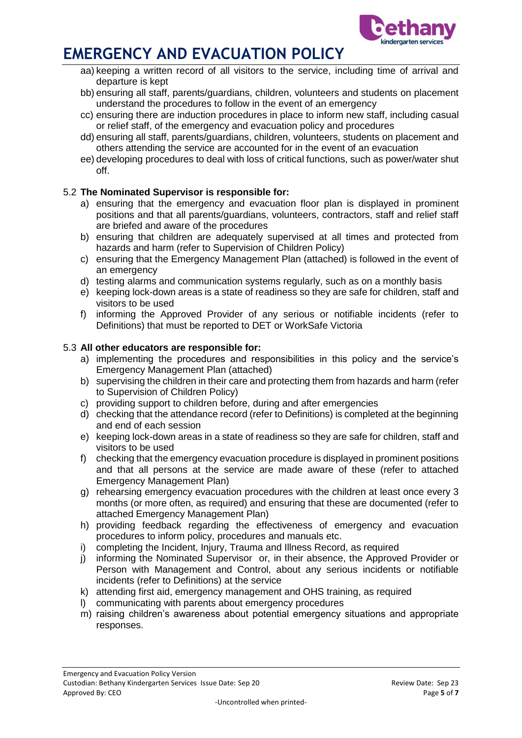

- aa) keeping a written record of all visitors to the service, including time of arrival and departure is kept
- bb) ensuring all staff, parents/guardians, children, volunteers and students on placement understand the procedures to follow in the event of an emergency
- cc) ensuring there are induction procedures in place to inform new staff, including casual or relief staff, of the emergency and evacuation policy and procedures
- dd) ensuring all staff, parents/guardians, children, volunteers, students on placement and others attending the service are accounted for in the event of an evacuation
- ee) developing procedures to deal with loss of critical functions, such as power/water shut off.

## 5.2 **The Nominated Supervisor is responsible for:**

- a) ensuring that the emergency and evacuation floor plan is displayed in prominent positions and that all parents/guardians, volunteers, contractors, staff and relief staff are briefed and aware of the procedures
- b) ensuring that children are adequately supervised at all times and protected from hazards and harm (refer to Supervision of Children Policy)
- c) ensuring that the Emergency Management Plan (attached) is followed in the event of an emergency
- d) testing alarms and communication systems regularly, such as on a monthly basis
- e) keeping lock-down areas is a state of readiness so they are safe for children, staff and visitors to be used
- f) informing the Approved Provider of any serious or notifiable incidents (refer to Definitions) that must be reported to DET or WorkSafe Victoria

### 5.3 **All other educators are responsible for:**

- a) implementing the procedures and responsibilities in this policy and the service's Emergency Management Plan (attached)
- b) supervising the children in their care and protecting them from hazards and harm (refer to Supervision of Children Policy)
- c) providing support to children before, during and after emergencies
- d) checking that the attendance record (refer to Definitions) is completed at the beginning and end of each session
- e) keeping lock-down areas in a state of readiness so they are safe for children, staff and visitors to be used
- f) checking that the emergency evacuation procedure is displayed in prominent positions and that all persons at the service are made aware of these (refer to attached Emergency Management Plan)
- g) rehearsing emergency evacuation procedures with the children at least once every 3 months (or more often, as required) and ensuring that these are documented (refer to attached Emergency Management Plan)
- h) providing feedback regarding the effectiveness of emergency and evacuation procedures to inform policy, procedures and manuals etc.
- i) completing the Incident, Injury, Trauma and Illness Record, as required
- j) informing the Nominated Supervisor or, in their absence, the Approved Provider or Person with Management and Control, about any serious incidents or notifiable incidents (refer to Definitions) at the service
- k) attending first aid, emergency management and OHS training, as required
- l) communicating with parents about emergency procedures
- m) raising children's awareness about potential emergency situations and appropriate responses.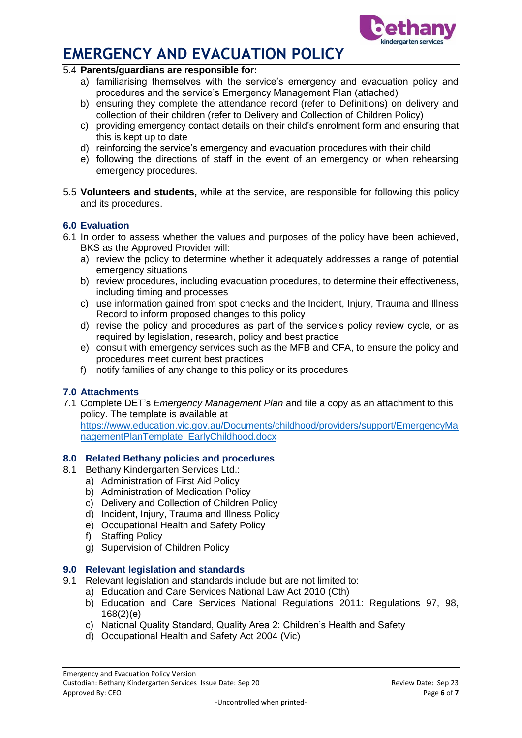



#### 5.4 **Parents/guardians are responsible for:**

- a) familiarising themselves with the service's emergency and evacuation policy and procedures and the service's Emergency Management Plan (attached)
- b) ensuring they complete the attendance record (refer to Definitions) on delivery and collection of their children (refer to Delivery and Collection of Children Policy)
- c) providing emergency contact details on their child's enrolment form and ensuring that this is kept up to date
- d) reinforcing the service's emergency and evacuation procedures with their child
- e) following the directions of staff in the event of an emergency or when rehearsing emergency procedures.
- 5.5 **Volunteers and students,** while at the service, are responsible for following this policy and its procedures.

## **6.0 Evaluation**

- 6.1 In order to assess whether the values and purposes of the policy have been achieved, BKS as the Approved Provider will:
	- a) review the policy to determine whether it adequately addresses a range of potential emergency situations
	- b) review procedures, including evacuation procedures, to determine their effectiveness, including timing and processes
	- c) use information gained from spot checks and the Incident, Injury, Trauma and Illness Record to inform proposed changes to this policy
	- d) revise the policy and procedures as part of the service's policy review cycle, or as required by legislation, research, policy and best practice
	- e) consult with emergency services such as the MFB and CFA, to ensure the policy and procedures meet current best practices
	- f) notify families of any change to this policy or its procedures

## **7.0 Attachments**

7.1 Complete DET's *Emergency Management Plan* and file a copy as an attachment to this policy. The template is available at

[https://www.education.vic.gov.au/Documents/childhood/providers/support/EmergencyMa](https://www.education.vic.gov.au/Documents/childhood/providers/support/EmergencyManagementPlanTemplate_EarlyChildhood.docx) [nagementPlanTemplate\\_EarlyChildhood.docx](https://www.education.vic.gov.au/Documents/childhood/providers/support/EmergencyManagementPlanTemplate_EarlyChildhood.docx)

### **8.0 Related Bethany policies and procedures**

- 8.1 Bethany Kindergarten Services Ltd.:
	- a) Administration of First Aid Policy
	- b) Administration of Medication Policy
	- c) Delivery and Collection of Children Policy
	- d) Incident, Injury, Trauma and Illness Policy
	- e) Occupational Health and Safety Policy
	- f) Staffing Policy
	- g) Supervision of Children Policy

### **9.0 Relevant legislation and standards**

- 9.1 Relevant legislation and standards include but are not limited to:
	- a) Education and Care Services National Law Act 2010 (Cth)
		- b) Education and Care Services National Regulations 2011: Regulations 97, 98, 168(2)(e)
		- c) National Quality Standard, Quality Area 2: Children's Health and Safety
		- d) Occupational Health and Safety Act 2004 (Vic)